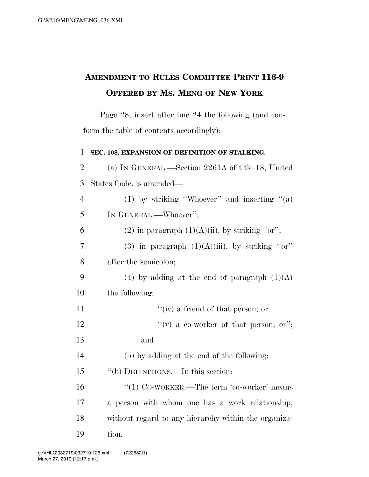## **AMENDMENT TO RULES COMMITTEE PRINT 116-9 OFFERED BY MS. MENG OF NEW YORK**

Page 28, insert after line 24 the following (and conform the table of contents accordingly):

| $\mathbf{1}$   | SEC. 108. EXPANSION OF DEFINITION OF STALKING.       |
|----------------|------------------------------------------------------|
| $\overline{2}$ | (a) IN GENERAL.—Section 2261A of title 18, United    |
| 3              | States Code, is amended—                             |
| $\overline{4}$ | (1) by striking "Whoever" and inserting " $(a)$      |
| 5              | IN GENERAL.—Whoever";                                |
| 6              | (2) in paragraph $(1)(A)(ii)$ , by striking "or";    |
| 7              | (3) in paragraph $(1)(A)(iii)$ , by striking "or"    |
| 8              | after the semicolon;                                 |
| 9              | (4) by adding at the end of paragraph $(1)(A)$       |
| 10             | the following:                                       |
| 11             | "(iv) a friend of that person; or                    |
| 12             | "(v) a co-worker of that person; or";                |
| 13             | and                                                  |
| 14             | $(5)$ by adding at the end of the following:         |
| 15             | "(b) DEFINITIONS.—In this section:                   |
| 16             | "(1) $Co$ -WORKER.—The term 'co-worker' means        |
| 17             | a person with whom one has a work relationship,      |
| 18             | without regard to any hierarchy within the organiza- |
| 19             | tion.                                                |